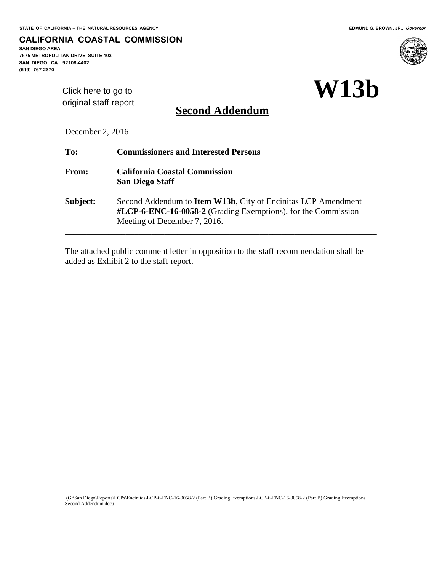**CALIFORNIA COASTAL COMMISSION** 

**SAN DIEGO AREA 7575 METROPOLITAN DRIVE, SUITE 103 SAN DIEGO, CA 92108-4402 (619) 767-2370**



[Click here to go to](#page-4-0)  original staff report

**Second Addendum**

December 2, 2016

| To:      | <b>Commissioners and Interested Persons</b>                                                                                                                            |
|----------|------------------------------------------------------------------------------------------------------------------------------------------------------------------------|
| From:    | <b>California Coastal Commission</b><br><b>San Diego Staff</b>                                                                                                         |
| Subject: | Second Addendum to <b>Item W13b</b> , City of Encinitas LCP Amendment<br>#LCP-6-ENC-16-0058-2 (Grading Exemptions), for the Commission<br>Meeting of December 7, 2016. |
|          |                                                                                                                                                                        |

The attached public comment letter in opposition to the staff recommendation shall be added as Exhibit 2 to the staff report.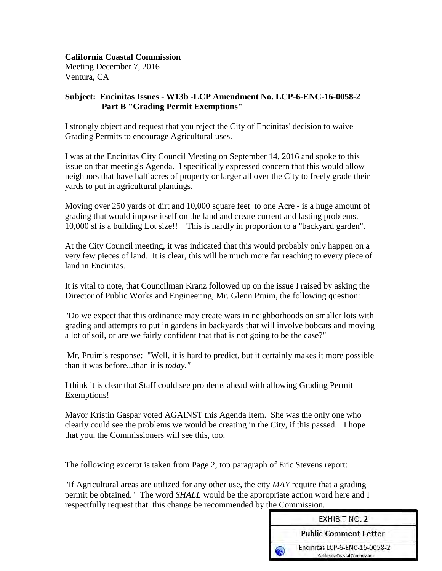#### **California Coastal Commission**

Meeting December 7, 2016 Ventura, CA

#### **Subject: Encinitas Issues - W13b -LCP Amendment No. LCP-6-ENC-16-0058-2 Part B "Grading Permit Exemptions"**

I strongly object and request that you reject the City of Encinitas' decision to waive Grading Permits to encourage Agricultural uses.

I was at the Encinitas City Council Meeting on September 14, 2016 and spoke to this issue on that meeting's Agenda. I specifically expressed concern that this would allow neighbors that have half acres of property or larger all over the City to freely grade their yards to put in agricultural plantings.

Moving over 250 yards of dirt and 10,000 square feet to one Acre - is a huge amount of grading that would impose itself on the land and create current and lasting problems. 10,000 sf is a building Lot size!! This is hardly in proportion to a "backyard garden".

At the City Council meeting, it was indicated that this would probably only happen on a very few pieces of land. It is clear, this will be much more far reaching to every piece of land in Encinitas.

It is vital to note, that Councilman Kranz followed up on the issue I raised by asking the Director of Public Works and Engineering, Mr. Glenn Pruim, the following question:

"Do we expect that this ordinance may create wars in neighborhoods on smaller lots with grading and attempts to put in gardens in backyards that will involve bobcats and moving a lot of soil, or are we fairly confident that that is not going to be the case?"

Mr, Pruim's response: "Well, it is hard to predict, but it certainly makes it more possible than it was before...than it is *today."* 

I think it is clear that Staff could see problems ahead with allowing Grading Permit Exemptions!

Mayor Kristin Gaspar voted AGAINST this Agenda Item. She was the only one who clearly could see the problems we would be creating in the City, if this passed. I hope that you, the Commissioners will see this, too.

The following excerpt is taken from Page 2, top paragraph of Eric Stevens report:

"If Agricultural areas are utilized for any other use, the city *MAY* require that a grading permit be obtained." The word *SHALL* would be the appropriate action word here and I respectfully request that this change be recommended by the Commission.

| <b>EXHIBIT NO. 2</b>                                                  |
|-----------------------------------------------------------------------|
| <b>Public Comment Letter</b>                                          |
| Encinitas LCP-6-ENC-16-0058-2<br><b>California Coastal Commission</b> |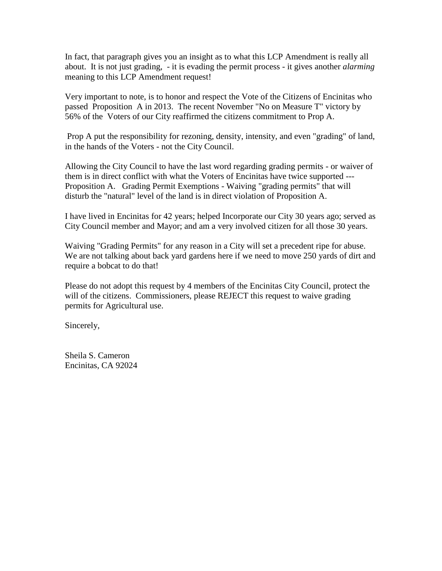In fact, that paragraph gives you an insight as to what this LCP Amendment is really all about. It is not just grading, - it is evading the permit process - it gives another *alarming*  meaning to this LCP Amendment request!

Very important to note, is to honor and respect the Vote of the Citizens of Encinitas who passed Proposition A in 2013. The recent November "No on Measure T" victory by 56% of the Voters of our City reaffirmed the citizens commitment to Prop A.

Prop A put the responsibility for rezoning, density, intensity, and even "grading" of land, in the hands of the Voters - not the City Council.

Allowing the City Council to have the last word regarding grading permits - or waiver of them is in direct conflict with what the Voters of Encinitas have twice supported --- Proposition A. Grading Permit Exemptions - Waiving "grading permits" that will disturb the "natural" level of the land is in direct violation of Proposition A.

I have lived in Encinitas for 42 years; helped Incorporate our City 30 years ago; served as City Council member and Mayor; and am a very involved citizen for all those 30 years.

Waiving "Grading Permits" for any reason in a City will set a precedent ripe for abuse. We are not talking about back yard gardens here if we need to move 250 yards of dirt and require a bobcat to do that!

Please do not adopt this request by 4 members of the Encinitas City Council, protect the will of the citizens. Commissioners, please REJECT this request to waive grading permits for Agricultural use.

Sincerely,

Sheila S. Cameron Encinitas, CA 92024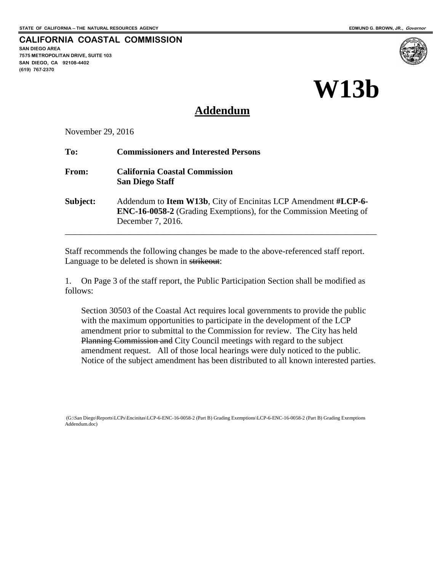#### **CALIFORNIA COASTAL COMMISSION SAN DIEGO AREA**

**7575 METROPOLITAN DRIVE, SUITE 103 SAN DIEGO, CA 92108-4402 (619) 767-2370**



# **Addendum**

November 29, 2016

| To:          | <b>Commissioners and Interested Persons</b>                                                                                                                             |
|--------------|-------------------------------------------------------------------------------------------------------------------------------------------------------------------------|
| <b>From:</b> | <b>California Coastal Commission</b><br><b>San Diego Staff</b>                                                                                                          |
| Subject:     | Addendum to <b>Item W13b</b> , City of Encinitas LCP Amendment #LCP-6-<br><b>ENC-16-0058-2</b> (Grading Exemptions), for the Commission Meeting of<br>December 7, 2016. |

Staff recommends the following changes be made to the above-referenced staff report. Language to be deleted is shown in strikeout:

1. On Page 3 of the staff report, the Public Participation Section shall be modified as follows:

Section 30503 of the Coastal Act requires local governments to provide the public with the maximum opportunities to participate in the development of the LCP amendment prior to submittal to the Commission for review. The City has held Planning Commission and City Council meetings with regard to the subject amendment request. All of those local hearings were duly noticed to the public. Notice of the subject amendment has been distributed to all known interested parties.

 <sup>(</sup>G:\San Diego\Reports\LCPs\Encinitas\LCP-6-ENC-16-0058-2 (Part B) Grading Exemptions\LCP-6-ENC-16-0058-2 (Part B) Grading Exemptions Addendum.doc)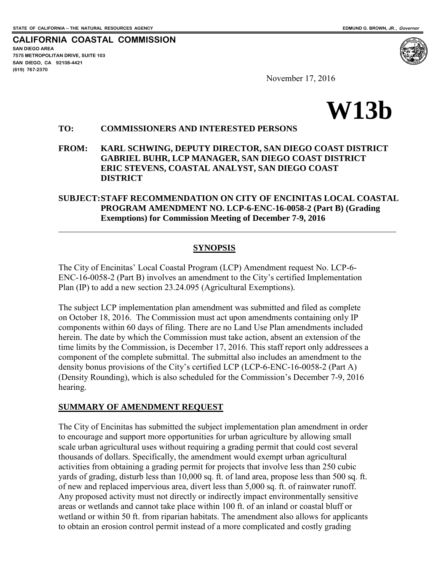<span id="page-4-0"></span>**CALIFORNIA COASTAL COMMISSION SAN DIEGO AREA 7575 METROPOLITAN DRIVE, SUITE 103 SAN DIEGO, CA 92108-4421 (619) 767-2370**

 $\overline{a}$ 

November 17, 2016



#### **TO: COMMISSIONERS AND INTERESTED PERSONS**

**FROM: KARL SCHWING, DEPUTY DIRECTOR, SAN DIEGO COAST DISTRICT GABRIEL BUHR, LCP MANAGER, SAN DIEGO COAST DISTRICT ERIC STEVENS, COASTAL ANALYST, SAN DIEGO COAST DISTRICT** 

#### **SUBJECT: STAFF RECOMMENDATION ON CITY OF ENCINITAS LOCAL COASTAL PROGRAM AMENDMENT NO. LCP-6-ENC-16-0058-2 (Part B) (Grading Exemptions) for Commission Meeting of December 7-9, 2016**

#### **SYNOPSIS**

The City of Encinitas' Local Coastal Program (LCP) Amendment request No. LCP-6- ENC-16-0058-2 (Part B) involves an amendment to the City's certified Implementation Plan (IP) to add a new section 23.24.095 (Agricultural Exemptions).

The subject LCP implementation plan amendment was submitted and filed as complete on October 18, 2016. The Commission must act upon amendments containing only IP components within 60 days of filing. There are no Land Use Plan amendments included herein. The date by which the Commission must take action, absent an extension of the time limits by the Commission, is December 17, 2016. This staff report only addressees a component of the complete submittal. The submittal also includes an amendment to the density bonus provisions of the City's certified LCP (LCP-6-ENC-16-0058-2 (Part A) (Density Rounding), which is also scheduled for the Commission's December 7-9, 2016 hearing.

#### **SUMMARY OF AMENDMENT REQUEST**

The City of Encinitas has submitted the subject implementation plan amendment in order to encourage and support more opportunities for urban agriculture by allowing small scale urban agricultural uses without requiring a grading permit that could cost several thousands of dollars. Specifically, the amendment would exempt urban agricultural activities from obtaining a grading permit for projects that involve less than 250 cubic yards of grading, disturb less than 10,000 sq. ft. of land area, propose less than 500 sq. ft. of new and replaced impervious area, divert less than 5,000 sq. ft. of rainwater runoff. Any proposed activity must not directly or indirectly impact environmentally sensitive areas or wetlands and cannot take place within 100 ft. of an inland or coastal bluff or wetland or within 50 ft. from riparian habitats. The amendment also allows for applicants to obtain an erosion control permit instead of a more complicated and costly grading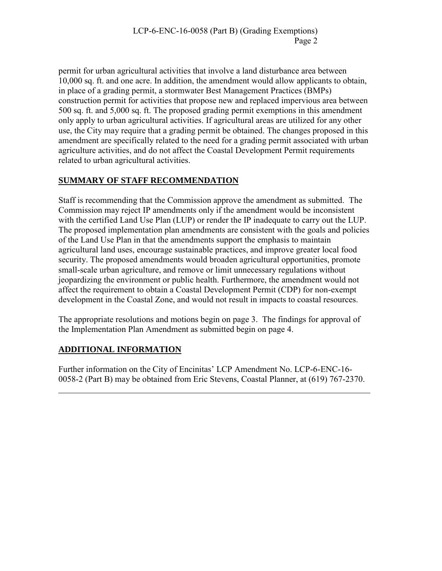permit for urban agricultural activities that involve a land disturbance area between 10,000 sq. ft. and one acre. In addition, the amendment would allow applicants to obtain, in place of a grading permit, a stormwater Best Management Practices (BMPs) construction permit for activities that propose new and replaced impervious area between 500 sq. ft. and 5,000 sq. ft. The proposed grading permit exemptions in this amendment only apply to urban agricultural activities. If agricultural areas are utilized for any other use, the City may require that a grading permit be obtained. The changes proposed in this amendment are specifically related to the need for a grading permit associated with urban agriculture activities, and do not affect the Coastal Development Permit requirements related to urban agricultural activities.

# **SUMMARY OF STAFF RECOMMENDATION**

Staff is recommending that the Commission approve the amendment as submitted. The Commission may reject IP amendments only if the amendment would be inconsistent with the certified Land Use Plan (LUP) or render the IP inadequate to carry out the LUP. The proposed implementation plan amendments are consistent with the goals and policies of the Land Use Plan in that the amendments support the emphasis to maintain agricultural land uses, encourage sustainable practices, and improve greater local food security. The proposed amendments would broaden agricultural opportunities, promote small-scale urban agriculture, and remove or limit unnecessary regulations without jeopardizing the environment or public health. Furthermore, the amendment would not affect the requirement to obtain a Coastal Development Permit (CDP) for non-exempt development in the Coastal Zone, and would not result in impacts to coastal resources.

The appropriate resolutions and motions begin on page 3. The findings for approval of the Implementation Plan Amendment as submitted begin on page 4.

# **ADDITIONAL INFORMATION**

 $\overline{a}$ 

Further information on the City of Encinitas' LCP Amendment No. LCP-6-ENC-16- 0058-2 (Part B) may be obtained from Eric Stevens, Coastal Planner, at (619) 767-2370.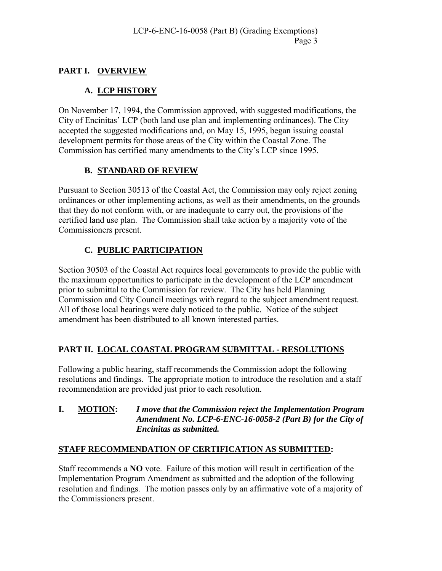# **PART I. OVERVIEW**

# **A. LCP HISTORY**

On November 17, 1994, the Commission approved, with suggested modifications, the City of Encinitas' LCP (both land use plan and implementing ordinances). The City accepted the suggested modifications and, on May 15, 1995, began issuing coastal development permits for those areas of the City within the Coastal Zone. The Commission has certified many amendments to the City's LCP since 1995.

### **B. STANDARD OF REVIEW**

Pursuant to Section 30513 of the Coastal Act, the Commission may only reject zoning ordinances or other implementing actions, as well as their amendments, on the grounds that they do not conform with, or are inadequate to carry out, the provisions of the certified land use plan. The Commission shall take action by a majority vote of the Commissioners present.

# **C. PUBLIC PARTICIPATION**

Section 30503 of the Coastal Act requires local governments to provide the public with the maximum opportunities to participate in the development of the LCP amendment prior to submittal to the Commission for review. The City has held Planning Commission and City Council meetings with regard to the subject amendment request. All of those local hearings were duly noticed to the public. Notice of the subject amendment has been distributed to all known interested parties.

# **PART II. LOCAL COASTAL PROGRAM SUBMITTAL - RESOLUTIONS**

Following a public hearing, staff recommends the Commission adopt the following resolutions and findings. The appropriate motion to introduce the resolution and a staff recommendation are provided just prior to each resolution.

#### **I. MOTION:** *I move that the Commission reject the Implementation Program Amendment No. LCP-6-ENC-16-0058-2 (Part B) for the City of Encinitas as submitted.*

# **STAFF RECOMMENDATION OF CERTIFICATION AS SUBMITTED:**

Staff recommends a **NO** vote. Failure of this motion will result in certification of the Implementation Program Amendment as submitted and the adoption of the following resolution and findings. The motion passes only by an affirmative vote of a majority of the Commissioners present.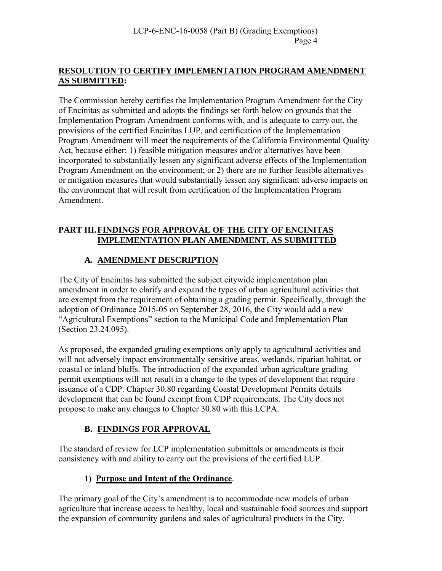#### **RESOLUTION TO CERTIFY IMPLEMENTATION PROGRAM AMENDMENT AS SUBMITTED:**

The Commission hereby certifies the Implementation Program Amendment for the City of Encinitas as submitted and adopts the findings set forth below on grounds that the Implementation Program Amendment conforms with, and is adequate to carry out, the provisions of the certified Encinitas LUP, and certification of the Implementation Program Amendment will meet the requirements of the California Environmental Quality Act, because either: 1) feasible mitigation measures and/or alternatives have been incorporated to substantially lessen any significant adverse effects of the Implementation Program Amendment on the environment; or 2) there are no further feasible alternatives or mitigation measures that would substantially lessen any significant adverse impacts on the environment that will result from certification of the Implementation Program Amendment.

#### **PART III. FINDINGS FOR APPROVAL OF THE CITY OF ENCINITAS IMPLEMENTATION PLAN AMENDMENT, AS SUBMITTED**

# **A. AMENDMENT DESCRIPTION**

The City of Encinitas has submitted the subject citywide implementation plan amendment in order to clarify and expand the types of urban agricultural activities that are exempt from the requirement of obtaining a grading permit. Specifically, through the adoption of Ordinance 2015-05 on September 28, 2016, the City would add a new "Agricultural Exemptions" section to the Municipal Code and Implementation Plan (Section 23.24.095).

As proposed, the expanded grading exemptions only apply to agricultural activities and will not adversely impact environmentally sensitive areas, wetlands, riparian habitat, or coastal or inland bluffs. The introduction of the expanded urban agriculture grading permit exemptions will not result in a change to the types of development that require issuance of a CDP. Chapter 30.80 regarding Coastal Development Permits details development that can be found exempt from CDP requirements. The City does not propose to make any changes to Chapter 30.80 with this LCPA.

# **B. FINDINGS FOR APPROVAL**

The standard of review for LCP implementation submittals or amendments is their consistency with and ability to carry out the provisions of the certified LUP.

# **1) Purpose and Intent of the Ordinance**.

The primary goal of the City's amendment is to accommodate new models of urban agriculture that increase access to healthy, local and sustainable food sources and support the expansion of community gardens and sales of agricultural products in the City.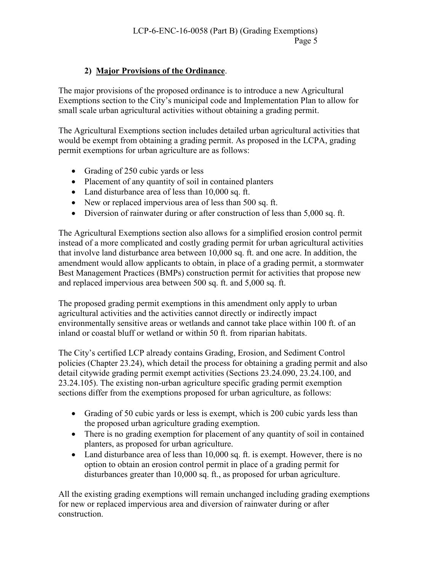# **2) Major Provisions of the Ordinance**.

The major provisions of the proposed ordinance is to introduce a new Agricultural Exemptions section to the City's municipal code and Implementation Plan to allow for small scale urban agricultural activities without obtaining a grading permit.

The Agricultural Exemptions section includes detailed urban agricultural activities that would be exempt from obtaining a grading permit. As proposed in the LCPA, grading permit exemptions for urban agriculture are as follows:

- Grading of 250 cubic vards or less
- Placement of any quantity of soil in contained planters
- Land disturbance area of less than 10,000 sq. ft.
- New or replaced impervious area of less than 500 sq. ft.
- Diversion of rainwater during or after construction of less than 5,000 sq. ft.

The Agricultural Exemptions section also allows for a simplified erosion control permit instead of a more complicated and costly grading permit for urban agricultural activities that involve land disturbance area between 10,000 sq. ft. and one acre. In addition, the amendment would allow applicants to obtain, in place of a grading permit, a stormwater Best Management Practices (BMPs) construction permit for activities that propose new and replaced impervious area between 500 sq. ft. and 5,000 sq. ft.

The proposed grading permit exemptions in this amendment only apply to urban agricultural activities and the activities cannot directly or indirectly impact environmentally sensitive areas or wetlands and cannot take place within 100 ft. of an inland or coastal bluff or wetland or within 50 ft. from riparian habitats.

The City's certified LCP already contains Grading, Erosion, and Sediment Control policies (Chapter 23.24), which detail the process for obtaining a grading permit and also detail citywide grading permit exempt activities (Sections 23.24.090, 23.24.100, and 23.24.105). The existing non-urban agriculture specific grading permit exemption sections differ from the exemptions proposed for urban agriculture, as follows:

- Grading of 50 cubic yards or less is exempt, which is 200 cubic yards less than the proposed urban agriculture grading exemption.
- There is no grading exemption for placement of any quantity of soil in contained planters, as proposed for urban agriculture.
- Land disturbance area of less than 10,000 sq. ft. is exempt. However, there is no option to obtain an erosion control permit in place of a grading permit for disturbances greater than 10,000 sq. ft., as proposed for urban agriculture.

All the existing grading exemptions will remain unchanged including grading exemptions for new or replaced impervious area and diversion of rainwater during or after construction.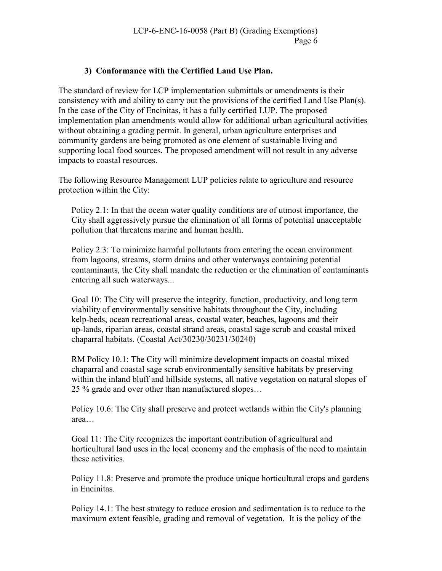### **3) Conformance with the Certified Land Use Plan.**

The standard of review for LCP implementation submittals or amendments is their consistency with and ability to carry out the provisions of the certified Land Use Plan(s). In the case of the City of Encinitas, it has a fully certified LUP. The proposed implementation plan amendments would allow for additional urban agricultural activities without obtaining a grading permit. In general, urban agriculture enterprises and community gardens are being promoted as one element of sustainable living and supporting local food sources. The proposed amendment will not result in any adverse impacts to coastal resources.

The following Resource Management LUP policies relate to agriculture and resource protection within the City:

Policy 2.1: In that the ocean water quality conditions are of utmost importance, the City shall aggressively pursue the elimination of all forms of potential unacceptable pollution that threatens marine and human health.

Policy 2.3: To minimize harmful pollutants from entering the ocean environment from lagoons, streams, storm drains and other waterways containing potential contaminants, the City shall mandate the reduction or the elimination of contaminants entering all such waterways...

Goal 10: The City will preserve the integrity, function, productivity, and long term viability of environmentally sensitive habitats throughout the City, including kelp-beds, ocean recreational areas, coastal water, beaches, lagoons and their up-lands, riparian areas, coastal strand areas, coastal sage scrub and coastal mixed chaparral habitats. (Coastal Act/30230/30231/30240)

RM Policy 10.1: The City will minimize development impacts on coastal mixed chaparral and coastal sage scrub environmentally sensitive habitats by preserving within the inland bluff and hillside systems, all native vegetation on natural slopes of 25 % grade and over other than manufactured slopes…

Policy 10.6: The City shall preserve and protect wetlands within the City's planning area…

Goal 11: The City recognizes the important contribution of agricultural and horticultural land uses in the local economy and the emphasis of the need to maintain these activities.

Policy 11.8: Preserve and promote the produce unique horticultural crops and gardens in Encinitas.

Policy 14.1: The best strategy to reduce erosion and sedimentation is to reduce to the maximum extent feasible, grading and removal of vegetation. It is the policy of the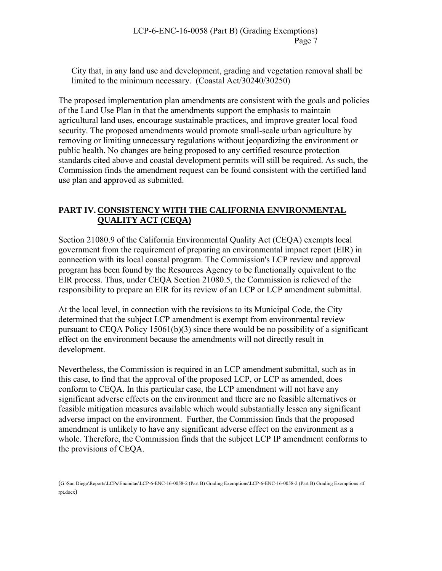City that, in any land use and development, grading and vegetation removal shall be limited to the minimum necessary. (Coastal Act/30240/30250)

The proposed implementation plan amendments are consistent with the goals and policies of the Land Use Plan in that the amendments support the emphasis to maintain agricultural land uses, encourage sustainable practices, and improve greater local food security. The proposed amendments would promote small-scale urban agriculture by removing or limiting unnecessary regulations without jeopardizing the environment or public health. No changes are being proposed to any certified resource protection standards cited above and coastal development permits will still be required. As such, the Commission finds the amendment request can be found consistent with the certified land use plan and approved as submitted.

## **PART IV. CONSISTENCY WITH THE CALIFORNIA ENVIRONMENTAL QUALITY ACT (CEQA)**

Section 21080.9 of the California Environmental Quality Act (CEQA) exempts local government from the requirement of preparing an environmental impact report (EIR) in connection with its local coastal program. The Commission's LCP review and approval program has been found by the Resources Agency to be functionally equivalent to the EIR process. Thus, under CEQA Section 21080.5, the Commission is relieved of the responsibility to prepare an EIR for its review of an LCP or LCP amendment submittal.

At the local level, in connection with the revisions to its Municipal Code, the City determined that the subject LCP amendment is exempt from environmental review pursuant to CEQA Policy 15061(b)(3) since there would be no possibility of a significant effect on the environment because the amendments will not directly result in development.

Nevertheless, the Commission is required in an LCP amendment submittal, such as in this case, to find that the approval of the proposed LCP, or LCP as amended, does conform to CEQA. In this particular case, the LCP amendment will not have any significant adverse effects on the environment and there are no feasible alternatives or feasible mitigation measures available which would substantially lessen any significant adverse impact on the environment. Further, the Commission finds that the proposed amendment is unlikely to have any significant adverse effect on the environment as a whole. Therefore, the Commission finds that the subject LCP IP amendment conforms to the provisions of CEQA.

(G:\San Diego\Reports\LCPs\Encinitas\LCP-6-ENC-16-0058-2 (Part B) Grading Exemptions\LCP-6-ENC-16-0058-2 (Part B) Grading Exemptions stf rpt.docx)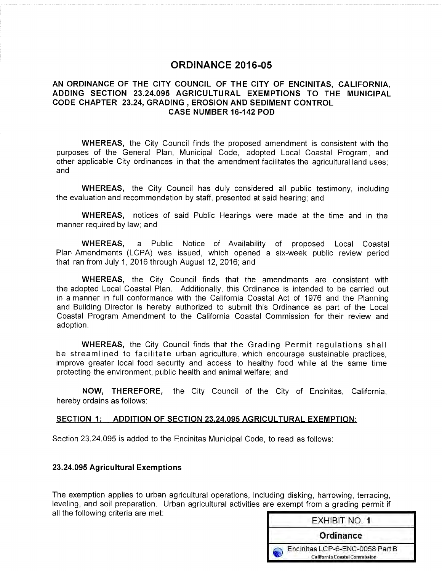# **ORDINANCE 2016-05**

#### AN ORDINANCE OF THE CITY COUNCIL OF THE CITY OF ENCINITAS, CALIFORNIA, ADDING SECTION 23.24.095 AGRICULTURAL EXEMPTIONS TO THE MUNICIPAL CODE CHAPTER 23.24, GRADING, EROSION AND SEDIMENT CONTROL **CASE NUMBER 16-142 POD**

**WHEREAS,** the City Council finds the proposed amendment is consistent with the purposes of the General Plan, Municipal Code, adopted Local Coastal Program, and other applicable City ordinances in that the amendment facilitates the agricultural land uses: and

**WHEREAS,** the City Council has duly considered all public testimony, including the evaluation and recommendation by staff, presented at said hearing; and

**WHEREAS,** notices of said Public Hearings were made at the time and in the manner required by law; and

**WHEREAS,** a Public Notice of Availability of proposed Local Coastal Plan Amendments (LCPA) was issued, which opened a six-week public review period that ran from July 1, 2016 through August 12, 2016; and

**WHEREAS,** the City Council finds that the amendments are consistent with the adopted Local Coastal Plan. Additionally, this Ordinance is intended to be carried out in a manner in full conformance with the California Coastal Act of 1976 and the Planning and Building Director is hereby authorized to submit this Ordinance as part of the Local Coastal Program Amendment to the California Coastal Commission for their review and adoption.

**WHEREAS, the City Council finds that the Grading Permit regulations shall** be streamlined to facilitate urban agriculture, which encourage sustainable practices, improve greater local food security and access to healthy food while at the same time protecting the environment, public health and animal welfare; and

NOW, THEREFORE, the City Council of the City of Encinitas, California, hereby ordains as follows:

#### SECTION 1: ADDITION OF SECTION 23.24.095 AGRICULTURAL EXEMPTION:

Section 23.24.095 is added to the Encinitas Municipal Code, to read as follows:

#### 23.24.095 Agricultural Exemptions

The exemption applies to urban agricultural operations, including disking, harrowing, terracing, leveling, and soil preparation. Urban agricultural activities are exempt from a grading permit if all the following criteria are met:

| <b>EXHIBIT NO. 1</b>                                                    |
|-------------------------------------------------------------------------|
| Ordinance                                                               |
| Encinitas LCP-6-ENC-0058 Part B<br><b>California Coastal Commission</b> |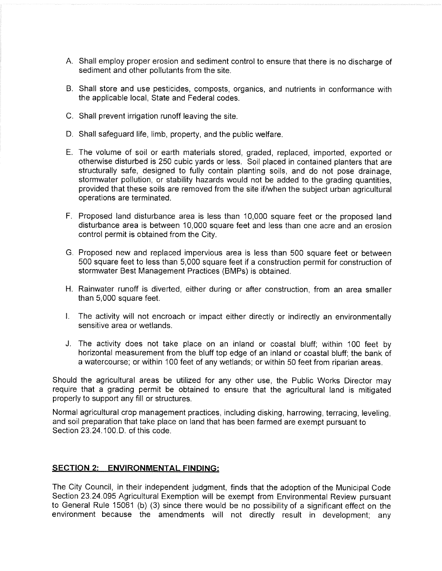- A. Shall employ proper erosion and sediment control to ensure that there is no discharge of sediment and other pollutants from the site.
- B. Shall store and use pesticides, composts, organics, and nutrients in conformance with the applicable local, State and Federal codes.
- C. Shall prevent irrigation runoff leaving the site.
- D. Shall safeguard life, limb, property, and the public welfare.
- E. The volume of soil or earth materials stored, graded, replaced, imported, exported or otherwise disturbed is 250 cubic yards or less. Soil placed in contained planters that are structurally safe, designed to fully contain planting soils, and do not pose drainage, stormwater pollution, or stability hazards would not be added to the grading quantities. provided that these soils are removed from the site if/when the subject urban agricultural operations are terminated.
- F. Proposed land disturbance area is less than 10,000 square feet or the proposed land disturbance area is between 10,000 square feet and less than one acre and an erosion control permit is obtained from the City.
- G. Proposed new and replaced impervious area is less than 500 square feet or between 500 square feet to less than 5,000 square feet if a construction permit for construction of stormwater Best Management Practices (BMPs) is obtained.
- H. Rainwater runoff is diverted, either during or after construction, from an area smaller than 5,000 square feet.
- I. The activity will not encroach or impact either directly or indirectly an environmentally sensitive area or wetlands.
- J. The activity does not take place on an inland or coastal bluff; within 100 feet by horizontal measurement from the bluff top edge of an inland or coastal bluff; the bank of a watercourse; or within 100 feet of any wetlands; or within 50 feet from riparian areas.

Should the agricultural areas be utilized for any other use, the Public Works Director may require that a grading permit be obtained to ensure that the agricultural land is mitigated properly to support any fill or structures.

Normal agricultural crop management practices, including disking, harrowing, terracing, leveling, and soil preparation that take place on land that has been farmed are exempt pursuant to Section 23.24.100 D. of this code.

#### **SECTION 2: ENVIRONMENTAL FINDING:**

The City Council, in their independent judgment, finds that the adoption of the Municipal Code Section 23.24.095 Agricultural Exemption will be exempt from Environmental Review pursuant to General Rule 15061 (b) (3) since there would be no possibility of a significant effect on the environment because the amendments will not directly result in development: any